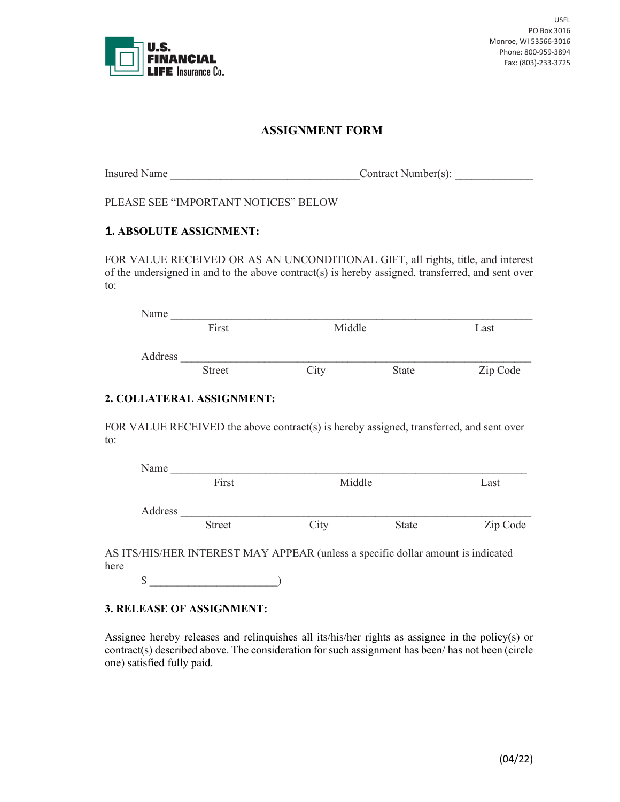

# **ASSIGNMENT FORM**

Insured Name  $\qquad \qquad$  Contract Number(s):

PLEASE SEE "IMPORTANT NOTICES" BELOW

## 1**. ABSOLUTE ASSIGNMENT:**

FOR VALUE RECEIVED OR AS AN UNCONDITIONAL GIFT, all rights, title, and interest of the undersigned in and to the above contract(s) is hereby assigned, transferred, and sent over to:

| Name    |               |                 |              |          |
|---------|---------------|-----------------|--------------|----------|
|         | First         | Middle          |              | Last     |
| Address |               |                 |              |          |
|         | <b>Street</b> | $\tilde{C}$ ity | <b>State</b> | Zip Code |

## **2. COLLATERAL ASSIGNMENT:**

FOR VALUE RECEIVED the above contract(s) is hereby assigned, transferred, and sent over to:

| Name    |               |        |       |          |
|---------|---------------|--------|-------|----------|
|         | First         | Middle |       | Last     |
|         |               |        |       |          |
| Address |               |        |       |          |
|         | <b>Street</b> | City   | State | Zip Code |
|         |               |        |       |          |

AS ITS/HIS/HER INTEREST MAY APPEAR (unless a specific dollar amount is indicated here

 $\S$  )

#### **3. RELEASE OF ASSIGNMENT:**

Assignee hereby releases and relinquishes all its/his/her rights as assignee in the policy(s) or contract(s) described above. The consideration for such assignment has been/ has not been (circle one) satisfied fully paid.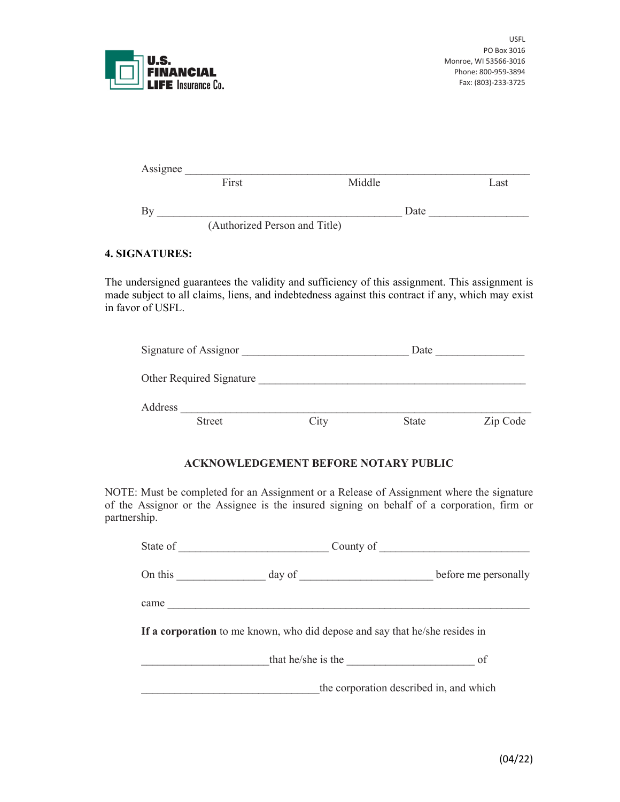

| Assignee |                               |        |      |
|----------|-------------------------------|--------|------|
|          | First                         | Middle | Last |
|          |                               | Date   |      |
|          | (Authorized Person and Title) |        |      |

## **4. SIGNATURES:**

The undersigned guarantees the validity and sufficiency of this assignment. This assignment is made subject to all claims, liens, and indebtedness against this contract if any, which may exist in favor of USFL.

| Signature of Assignor    |      | Date         |          |
|--------------------------|------|--------------|----------|
| Other Required Signature |      |              |          |
| Address                  |      |              |          |
| <b>Street</b>            | City | <b>State</b> | Zip Code |

## **ACKNOWLEDGEMENT BEFORE NOTARY PUBLIC**

NOTE: Must be completed for an Assignment or a Release of Assignment where the signature of the Assignor or the Assignee is the insured signing on behalf of a corporation, firm or partnership.

| State of | County of                                                                   |                                         |
|----------|-----------------------------------------------------------------------------|-----------------------------------------|
| On this  |                                                                             | before me personally                    |
| came     |                                                                             |                                         |
|          | If a corporation to me known, who did depose and say that he/she resides in |                                         |
|          | that he/she is the                                                          | of                                      |
|          |                                                                             | the corporation described in, and which |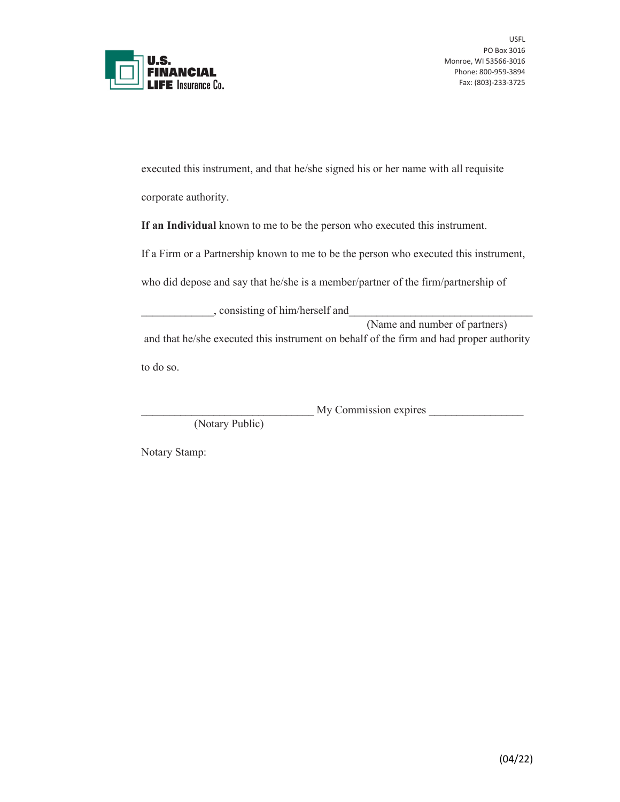

executed this instrument, and that he/she signed his or her name with all requisite corporate authority.

**If an Individual** known to me to be the person who executed this instrument.

If a Firm or a Partnership known to me to be the person who executed this instrument,

who did depose and say that he/she is a member/partner of the firm/partnership of

\_\_\_\_\_\_\_\_\_\_\_\_\_, consisting of him/herself and\_\_\_\_\_\_\_\_\_\_\_\_\_\_\_\_\_\_\_\_\_\_\_\_\_\_\_\_\_\_\_\_\_ (Name and number of partners) and that he/she executed this instrument on behalf of the firm and had proper authority to do so.

\_\_\_\_\_\_\_\_\_\_\_\_\_\_\_\_\_\_\_\_\_\_\_\_\_\_\_\_\_\_\_ My Commission expires \_\_\_\_\_\_\_\_\_\_\_\_\_\_\_\_\_

(Notary Public)

Notary Stamp: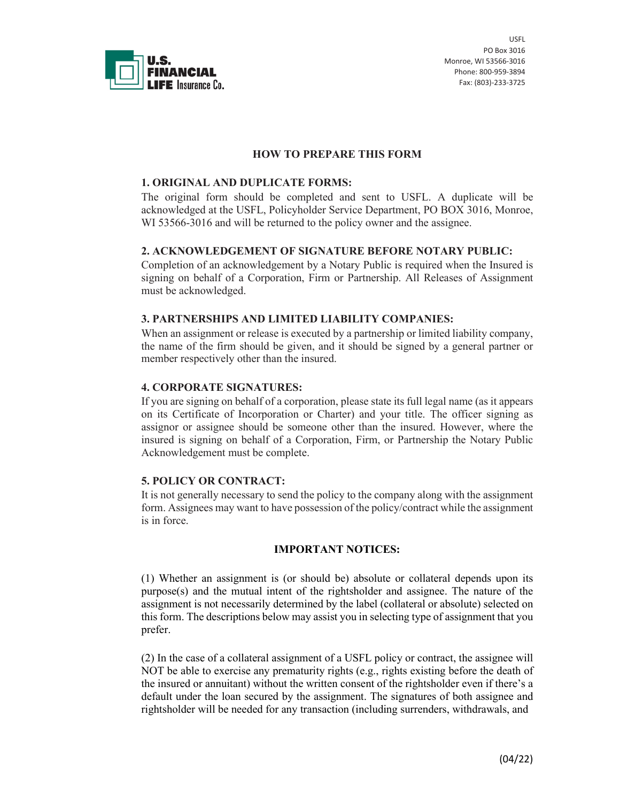

USFL PO Box 3016 Monroe, WI 53566-3016 Phone: 800-959-3894 Fax: (803)-233-3725

## **HOW TO PREPARE THIS FORM**

### **1. ORIGINAL AND DUPLICATE FORMS:**

The original form should be completed and sent to USFL. A duplicate will be acknowledged at the USFL, Policyholder Service Department, PO BOX 3016, Monroe, WI 53566-3016 and will be returned to the policy owner and the assignee.

## **2. ACKNOWLEDGEMENT OF SIGNATURE BEFORE NOTARY PUBLIC:**

Completion of an acknowledgement by a Notary Public is required when the Insured is signing on behalf of a Corporation, Firm or Partnership. All Releases of Assignment must be acknowledged.

#### **3. PARTNERSHIPS AND LIMITED LIABILITY COMPANIES:**

When an assignment or release is executed by a partnership or limited liability company, the name of the firm should be given, and it should be signed by a general partner or member respectively other than the insured.

#### **4. CORPORATE SIGNATURES:**

If you are signing on behalf of a corporation, please state its full legal name (as it appears on its Certificate of Incorporation or Charter) and your title. The officer signing as assignor or assignee should be someone other than the insured. However, where the insured is signing on behalf of a Corporation, Firm, or Partnership the Notary Public Acknowledgement must be complete.

## **5. POLICY OR CONTRACT:**

It is not generally necessary to send the policy to the company along with the assignment form. Assignees may want to have possession of the policy/contract while the assignment is in force.

#### **IMPORTANT NOTICES:**

(1) Whether an assignment is (or should be) absolute or collateral depends upon its purpose(s) and the mutual intent of the rightsholder and assignee. The nature of the assignment is not necessarily determined by the label (collateral or absolute) selected on this form. The descriptions below may assist you in selecting type of assignment that you prefer.

(2) In the case of a collateral assignment of a USFL policy or contract, the assignee will NOT be able to exercise any prematurity rights (e.g., rights existing before the death of the insured or annuitant) without the written consent of the rightsholder even if there's a default under the loan secured by the assignment. The signatures of both assignee and rightsholder will be needed for any transaction (including surrenders, withdrawals, and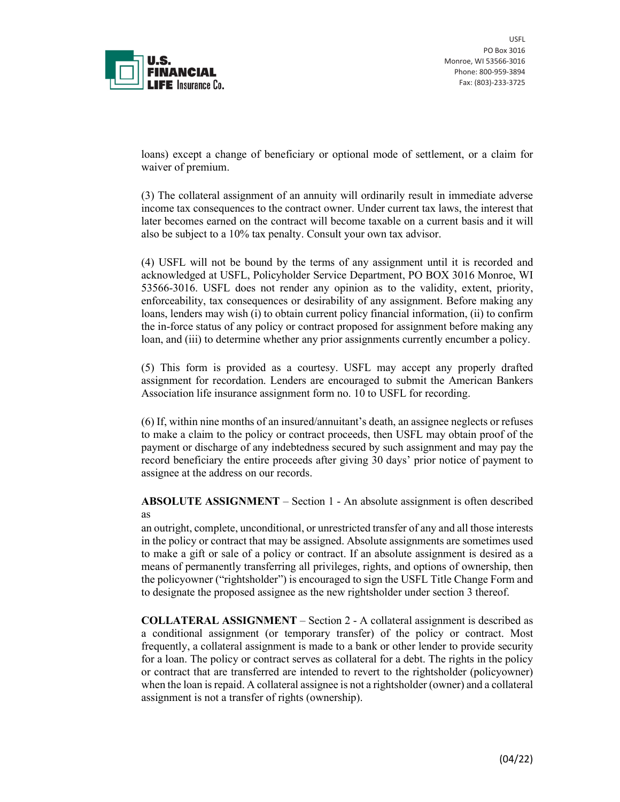

USFL PO Box 3016 Monroe, WI 53566-3016 Phone: 800-959-3894 Fax: (803)-233-3725

loans) except a change of beneficiary or optional mode of settlement, or a claim for waiver of premium.

(3) The collateral assignment of an annuity will ordinarily result in immediate adverse income tax consequences to the contract owner. Under current tax laws, the interest that later becomes earned on the contract will become taxable on a current basis and it will also be subject to a 10% tax penalty. Consult your own tax advisor.

(4) USFL will not be bound by the terms of any assignment until it is recorded and acknowledged at USFL, Policyholder Service Department, PO BOX 3016 Monroe, WI 53566-3016. USFL does not render any opinion as to the validity, extent, priority, enforceability, tax consequences or desirability of any assignment. Before making any loans, lenders may wish (i) to obtain current policy financial information, (ii) to confirm the in-force status of any policy or contract proposed for assignment before making any loan, and (iii) to determine whether any prior assignments currently encumber a policy.

(5) This form is provided as a courtesy. USFL may accept any properly drafted assignment for recordation. Lenders are encouraged to submit the American Bankers Association life insurance assignment form no. 10 to USFL for recording.

(6) If, within nine months of an insured/annuitant's death, an assignee neglects or refuses to make a claim to the policy or contract proceeds, then USFL may obtain proof of the payment or discharge of any indebtedness secured by such assignment and may pay the record beneficiary the entire proceeds after giving 30 days' prior notice of payment to assignee at the address on our records.

**ABSOLUTE ASSIGNMENT** – Section 1 - An absolute assignment is often described as

an outright, complete, unconditional, or unrestricted transfer of any and all those interests in the policy or contract that may be assigned. Absolute assignments are sometimes used to make a gift or sale of a policy or contract. If an absolute assignment is desired as a means of permanently transferring all privileges, rights, and options of ownership, then the policyowner ("rightsholder") is encouraged to sign the USFL Title Change Form and to designate the proposed assignee as the new rightsholder under section 3 thereof.

**COLLATERAL ASSIGNMENT** – Section 2 - A collateral assignment is described as a conditional assignment (or temporary transfer) of the policy or contract. Most frequently, a collateral assignment is made to a bank or other lender to provide security for a loan. The policy or contract serves as collateral for a debt. The rights in the policy or contract that are transferred are intended to revert to the rightsholder (policyowner) when the loan is repaid. A collateral assignee is not a rightsholder (owner) and a collateral assignment is not a transfer of rights (ownership).